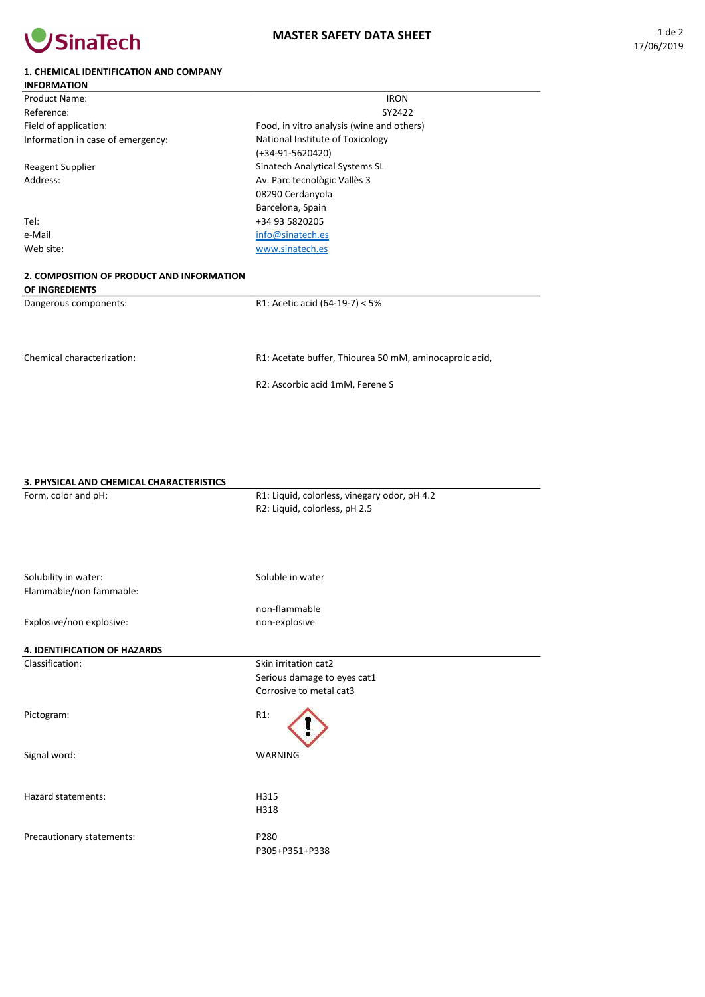

## 1. CHEMICAL IDENTIFICATION AND COMPANY

| <b>INFORMATION</b>                                                 |                                           |  |
|--------------------------------------------------------------------|-------------------------------------------|--|
| Product Name:                                                      | <b>IRON</b>                               |  |
| Reference:                                                         | SY2422                                    |  |
| Field of application:                                              | Food, in vitro analysis (wine and others) |  |
| Information in case of emergency:                                  | National Institute of Toxicology          |  |
|                                                                    | (+34-91-5620420)                          |  |
| <b>Reagent Supplier</b>                                            | Sinatech Analytical Systems SL            |  |
| Address:                                                           | Av. Parc tecnològic Vallès 3              |  |
|                                                                    | 08290 Cerdanyola                          |  |
|                                                                    | Barcelona, Spain                          |  |
| Tel:                                                               | +34 93 5820205                            |  |
| e-Mail                                                             | info@sinatech.es                          |  |
| Web site:                                                          | www.sinatech.es                           |  |
| 2. COMPOSITION OF PRODUCT AND INFORMATION<br><b>OF INCREDIENTS</b> |                                           |  |

OF INGREDIENTS Dangerous components:

R1: Acetic acid (64-19-7) < 5%

Chemical characterization:

R1: Acetate buffer, Thiourea 50 mM, aminocaproic acid,

R2: Ascorbic acid 1mM, Ferene S

| 3. PHYSICAL AND CHEMICAL CHARACTERISTICS |                                              |
|------------------------------------------|----------------------------------------------|
| Form, color and pH:                      | R1: Liquid, colorless, vinegary odor, pH 4.2 |
|                                          | R2: Liquid, colorless, pH 2.5                |
|                                          |                                              |
| Solubility in water:                     | Soluble in water                             |
| Flammable/non fammable:                  |                                              |
|                                          | non-flammable                                |
| Explosive/non explosive:                 | non-explosive                                |
| <b>4. IDENTIFICATION OF HAZARDS</b>      |                                              |
| Classification:                          | Skin irritation cat2                         |
|                                          | Serious damage to eyes cat1                  |
|                                          | Corrosive to metal cat3                      |
| Pictogram:                               | $R1$ :                                       |
| Signal word:                             | <b>WARNING</b>                               |
| Hazard statements:                       | H315                                         |
|                                          | H318                                         |
|                                          |                                              |
| Precautionary statements:                | P280                                         |
|                                          | P305+P351+P338                               |